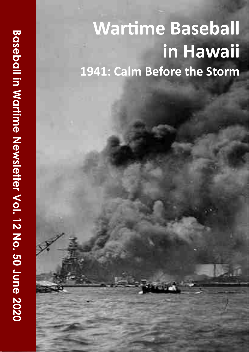# **Wartime Baseball in Combat in Hawaii 1941: Calm Before the Storm**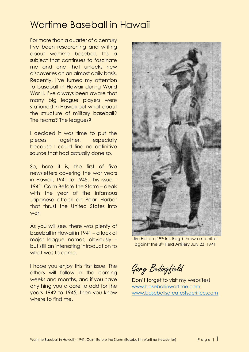## Wartime Baseball in Hawaii

For more than a quarter of a century I've been researching and writing about wartime baseball. It's a subject that continues to fascinate me and one that unlocks new discoveries on an almost daily basis. Recently, I've turned my attention to baseball in Hawaii during World War II. I've always been aware that many big league players were stationed in Hawaii but what about the structure of military baseball? The teams? The leagues?

I decided it was time to put the pieces together, especially because I could find no definitive source that had actually done so.

So, here it is, the first of five newsletters covering the war years in Hawaii, 1941 to 1945. This issue – 1941: Calm Before the Storm – deals with the year of the infamous Japanese attack on Pearl Harbor that thrust the United States into war.

As you will see, there was plenty of baseball in Hawaii in 1941 – a lack of major league names, obviously – but still an interesting introduction to what was to come.

I hope you enjoy this first issue. The others will follow in the coming weeks and months, and if you have anything you'd care to add for the years 1942 to 1945, then you know where to find me.



Jim Helton (19th Inf. Regt) threw a no-hitter against the 8th Field Artillery July 23, 1941

Gary Bedingfield

Don't forget to visit my websites! [www.baseballinwartime.com](http://www.baseballinwartime.com/) [www.baseballsgreatestsacrifice.com](http://www.baseballsgreatestsacrifice.com/)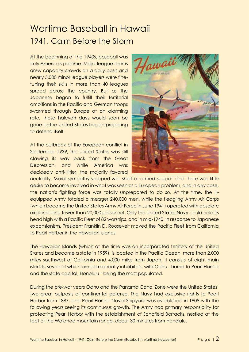# Wartime Baseball in Hawaii 1941: Calm Before the Storm

At the beginning of the 1940s, baseball was truly America's pastime. Major league teams drew capacity crowds on a daily basis and nearly 5,000 minor league players were finetuning their skills in more than 40 leagues spread across the country. But as the Japanese began to fulfill their territorial ambitions in the Pacific and German troops swarmed through Europe at an alarming rate, those halcyon days would soon be gone as the United States began preparing to defend itself.

At the outbreak of the European conflict in September 1939, the United States was still clawing its way back from the Great Depression, and while America was decidedly anti-Hitler, the majority favored



neutrality. Moral sympathy stopped well short of armed support and there was little desire to become involved in what was seen as a European problem, and in any case, the nation's fighting force was totally unprepared to do so. At the time, the illequipped Army totaled a meager 240,000 men, while the fledgling Army Air Corps (which became the United States Army Air Force in June 1941) operated with obsolete airplanes and fewer than 20,000 personnel. Only the United States Navy could hold its head high with a Pacific Fleet of 82 warships, and in mid-1940, in response to Japanese expansionism, President Franklin D. Roosevelt moved the Pacific Fleet from California to Pearl Harbor in the Hawaiian Islands.

The Hawaiian Islands (which at the time was an incorporated territory of the United States and became a state in 1959), is located in the Pacific Ocean, more than 2,000 miles southwest of California and 4,000 miles from Japan. It consists of eight main islands, seven of which are permanently inhabited, with Oahu - home to Pearl Harbor and the state capital, Honolulu - being the most populated.

During the pre-war years Oahu and the Panama Canal Zone were the United States' two great outposts of continental defense. The Navy had exclusive rights to Pearl Harbor from 1887, and Pearl Harbor Naval Shipyard was established in 1908 with the following years seeing its continuous growth. The Army had primary responsibility for protecting Pearl Harbor with the establishment of Schofield Barracks, nestled at the foot of the Waianae mountain range, about 30 minutes from Honolulu.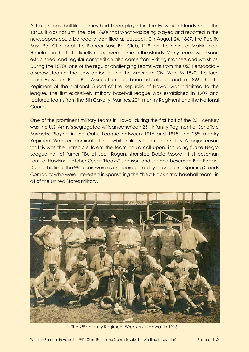Although baseball-like games had been played in the Hawaiian Islands since the 1840s, it was not until the late 1860s that what was being played and reported in the newspapers could be readily identified as baseball. On August 24, 1867, the Pacific Base Ball Club beat the Pioneer Base Ball Club, 11-9, on the plains of Makiki, near Honolulu, in the first officially recognized game in the islands. Many teams were soon established, and regular competition also came from visiting mariners and warships. During the 1870s, one of the regular challenging teams was from the USS Pensacola – a screw steamer that saw action during the American Civil War. By 1890, the fourteam Hawaiian Base Ball Association had been established and in 1896, the 1st Regiment of the National Guard of the Republic of Hawaii was admitted to the league. The first exclusively military baseball league was established in 1909 and featured teams from the 5th Cavalry, Marines, 20<sup>th</sup> Infantry Regiment and the National Guard.

One of the prominent military teams in Hawaii during the first half of the 20<sup>th</sup> century was the U.S. Army's segregated African-American 25<sup>th</sup> Infantry Regiment at Schofield Barracks. Playing in the Oahu League between 1915 and 1918, the 25<sup>th</sup> Infantry Regiment Wreckers dominated their white military team contenders. A major reason for this was the incredible talent the team could call upon, including future Negro League hall of famer "Bullet Joe" Rogan, shortstop Dobie Moore, first baseman Lemuel Hawkins, catcher Oscar "Heavy" Johnson and second baseman Bob Fagan. During this time, the Wreckers were even approached by the Spalding Sporting Goods Company who were interested in sponsoring the "best Black army baseball team" in all of the United States military.



The 25<sup>th</sup> Infantry Regiment Wreckers in Hawaii in 1916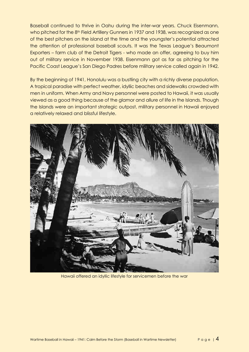Baseball continued to thrive in Oahu during the inter-war years. Chuck Eisenmann, who pitched for the 8<sup>th</sup> Field Artillery Gunners in 1937 and 1938, was recognized as one of the best pitchers on the island at the time and the youngster's potential attracted the attention of professional baseball scouts. It was the Texas League's Beaumont Exporters – farm club of the Detroit Tigers - who made an offer, agreeing to buy him out of military service in November 1938. Eisenmann got as far as pitching for the Pacific Coast League's San Diego Padres before military service called again in 1942.

By the beginning of 1941, Honolulu was a bustling city with a richly diverse population. A tropical paradise with perfect weather, idyllic beaches and sidewalks crowded with men in uniform. When Army and Navy personnel were posted to Hawaii, it was usually viewed as a good thing because of the glamor and allure of life in the Islands. Though the Islands were an important strategic outpost, military personnel in Hawaii enjoyed a relatively relaxed and blissful lifestyle.



Hawaii offered an idyllic lifestyle for servicemen before the war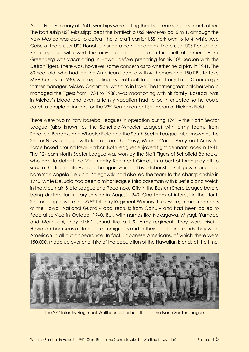As early as February of 1941, warships were pitting their ball teams against each other. The battleship USS Mississippi beat the battleship USS New Mexico, 6 to 1, although the New Mexico was able to defeat the aircraft carrier USS Yorktown, 6 to 4; while Ace Geise of the cruiser USS Honolulu hurled a no-hitter against the cruiser USS Pensacola. February also witnessed the arrival of a couple of future hall of famers. Hank Greenberg was vacationing in Hawaii before preparing for his 10<sup>th</sup> season with the Detroit Tigers. There was, however, some concern as to whether he'd play in 1941. The 30-year-old, who had led the American League with 41 homers and 150 RBIs to take MVP honors in 1940, was expecting his draft call to come at any time. Greenberg's former manager, Mickey Cochrane, was also in town. The former great catcher who'd managed the Tigers from 1934 to 1938, was vacationing with his family. Baseball was in Mickey's blood and even a family vacation had to be interrupted so he could catch a couple of innings for the 23rd Bombardment Squadron of Hickam Field.

There were two military baseball leagues in operation during 1941 – the North Sector League (also known as the Schofield-Wheeler League) with army teams from Schofield Barracks and Wheeler Field and the South Sector League (also known as the Sector-Navy League) with teams from the Navy, Marine Corps, Army and Army Air Force based around Pearl Harbor. Both leagues enjoyed tight pennant races in 1941. The 12-team North Sector League was won by the Staff Tigers of Schofield Barracks, who had to defeat the 21st Infantry Regiment Gimlets in a best-of-three play-off to secure the title in late August. The Tigers were led by pitcher Stan Zalegowski and third baseman Angelo DeLucia. Zalegowski had also led the team to the championship in 1940, while DeLucia had been a minor league third baseman with Bluefield and Welch in the Mountain State League and Pocomoke City in the Eastern Shore League before being drafted for military service in August 1940. One team of interest in the North Sector League were the 298<sup>th</sup> Infantry Regiment Warriors. They were, in fact, members of the Hawaii National Guard - local recruits from Oahu – and had been called to Federal service in October 1940. But, with names like Nakagawa, Miyagi, Yamada and Moriguchi, they didn't sound like a U.S. Army regiment. They were nisei – Hawaiian-born sons of Japanese immigrants and in their hearts and minds they were American in all but appearance. In fact, Japanese Americans, of which there were 150,000, made up over one third of the population of the Hawaiian Islands at the time.



The 27<sup>th</sup> Infantry Regiment Wolfhounds finished third in the North Sector League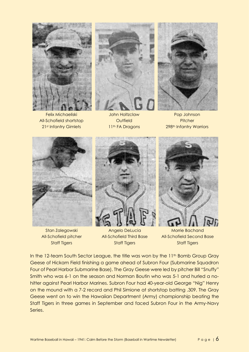

Felix Michaeliski All-Schofield shortstop 21st Infantry Gimlets



John Holtzclaw **Outfield** 11th FA Dragons



Pop Johnson **Pitcher** 298th Infantry Warriors



Stan Zalegowski All-Schofield pitcher Staff Tigers

Angelo DeLucia All-Schofield Third Base Staff Tigers



Morrie Bachand All-Schofield Second Base Staff Tigers

In the 12-team South Sector League, the title was won by the 11<sup>th</sup> Bomb Group Gray Geese of Hickam Field finishing a game ahead of Subron Four (Submarine Squadron Four of Pearl Harbor Submarine Base). The Gray Geese were led by pitcher Bill "Snuffy" Smith who was 6-1 on the season and Norman Boutin who was 5-1 and hurled a nohitter against Pearl Harbor Marines. Subron Four had 40-year-old George "Nig" Henry on the mound with a 7-2 record and Phil Simione at shortstop batting .309. The Gray Geese went on to win the Hawaiian Department (Army) championship beating the Staff Tigers in three games in September and faced Subron Four in the Army-Navy Series.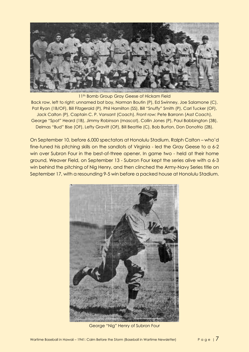

11<sup>th</sup> Bomb Group Gray Geese of Hickam Field Back row, left to right: unnamed bat boy, Norman Boutin (P), Ed Swinney, Joe Salamone (C), Pat Ryan (1B/OF), Bill Fitzgerald (P), Phil Hamilton (SS), Bill "Snuffy" Smith (P), Carl Tucker (OF), Jack Calton (P), Captain C. P. Vansant (Coach). Front row: Pete Barronn (Asst Coach), George "Spot" Heard (1B), Jimmy Robinson (mascot), Collin Jones (P), Paul Babbington (3B), Delmas "Bud" Bise (OF), Lefty Gravitt (OF), Bill Beattie (C), Bob Burton, Don Donofrio (2B).

On September 10, before 6,000 spectators at Honolulu Stadium, Ralph Calton – who'd fine-tuned his pitching skills on the sandlots of Virginia - led the Gray Geese to a 6-2 win over Subron Four in the best-of-three opener. In game two - held at their home ground, Weaver Field, on September 13 - Subron Four kept the series alive with a 6-3 win behind the pitching of Nig Henry, and then clinched the Army-Navy Series title on September 17, with a resounding 9-5 win before a packed house at Honolulu Stadium.



George "Nig" Henry of Subron Four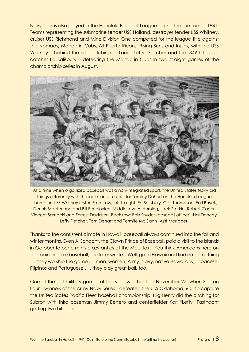Navy teams also played in the Honolulu Baseball League during the summer of 1941. Teams representing the submarine tender USS Holland, destroyer tender USS Whitney, cruiser USS Richmond and Mine Division One competed for the league title against the Nomads, Mandarin Cubs, All Puerto Ricans, Rising Suns and Injuns, with the USS Whitney – behind the solid pitching of Louis "Lefty" Fletcher and the .349 hitting of catcher Ed Salisbury – defeating the Mandarin Cubs in two straight games of the championship series in August.



At a time when organized baseball was a non-integrated sport, the United States Navy did things differently with the inclusion of outfielder Tommy Dehart on the Honolulu League champion USS Whitney roster. Front row, left to right: Ed Salisbury, Carl Thompson, Earl Buyck, Dennis Macfarlane and Bill Ermolovich. Middle row: Al Horning, Jack Starkie, Robert Carter, Vincent Sarnacki and Forrest Davidson. Back row: Bob Snyder (baseball officer), Hal Doherty, Lefty Fletcher, Tom Dehart and Termite McCann (Asst Manager)

Thanks to the consistent climate in Hawaii, baseball always continued into the fall and winter months. Even Al Schacht, the Clown Prince of Baseball, paid a visit to the Islands in October to perform his crazy antics at the Maui fair. "You think Americans here on the mainland like baseball," he later wrote. "Well, go to Hawaii and find out something ... they worship the game ... men, women, Army, Navy, native Hawaiians, Japanese, Filipinos and Portuguese . . . they play great ball, too."

One of the last military games of the year was held on November 27, when Subron Four – winners of the Army-Navy Series - defeated the USS Oklahoma, 6-5, to capture the United States Pacific Fleet baseball championship. Nig Henry did the pitching for Subron with third baseman Jimmy Bertero and centerfielder Karl "Lefty" Fastnacht getting two hits apiece.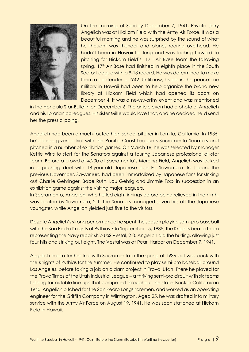

On the morning of Sunday December 7, 1941, Private Jerry Angelich was at Hickam Field with the Army Air Force. It was a beautiful morning and he was surprised by the sound of what he thought was thunder and planes roaring overhead. He hadn't been in Hawaii for long and was looking forward to pitching for Hickam Field's 17<sup>th</sup> Air Base team the following spring. 17<sup>th</sup> Air Base had finished in eighth place in the South Sector League with a 9-13 record. He was determined to make them a contender in 1942. Until now, his job in the peacetime military in Hawaii had been to help organize the brand new library at Hickam Field which had opened its doors on December 4. It was a newsworthy event and was mentioned

in the Honolulu Star-Bulletin on December 6. The article even had a photo of Angelich and his librarian colleagues. His sister Millie would love that, and he decided he'd send her the press clipping.

Angelich had been a much-touted high school pitcher in Lomita, California. In 1935, he'd been given a trial with the Pacific Coast League's Sacramento Senators and pitched in a number of exhibition games. On March 18, he was selected by manager Kettle Wirts to start for the Senators against a touring Japanese professional all-star team. Before a crowd of 4,200 at Sacramento's Moreing Field, Angelich was locked in a pitching duel with 18-year-old Japanese ace Eiji Sawamura. In Japan, the previous November, Sawamura had been immortalized by Japanese fans for striking out Charlie Gehringer, Babe Ruth, Lou Gehrig and Jimmie Foxx in succession in an exhibition game against the visiting major leaguers.

In Sacramento, Angelich, who hurled eight innings before being relieved in the ninth, was beaten by Sawamura, 2-1. The Senators managed seven hits off the Japanese youngster, while Angelich yielded just five to the visitors.

Despite Angelich's strong performance he spent the season playing semi-pro baseball with the San Pedro Knights of Pythias. On September 15, 1935, the Knights beat a team representing the Navy repair ship USS Vestal, 2-0. Angelich did the hurling, allowing just four hits and striking out eight. The Vestal was at Pearl Harbor on December 7, 1941.

Angelich had a further trial with Sacramento in the spring of 1936 but was back with the Knights of Pythias for the summer. He continued to play semi-pro baseball around Los Angeles, before taking a job on a dam project in Provo, Utah. There he played for the Provo Timps of the Utah Industrial League – a thriving semi-pro circuit with six teams fielding formidable line-ups that competed throughout the state. Back in California in 1940, Angelich pitched for the San Pedro Longshoremen, and worked as an operating engineer for the Griffith Company in Wilmington. Aged 25, he was drafted into military service with the Army Air Force on August 19, 1941. He was soon stationed at Hickam Field in Hawaii.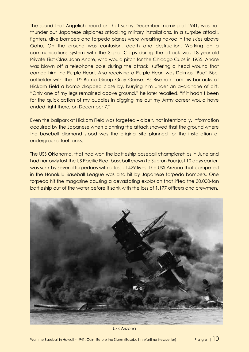The sound that Angelich heard on that sunny December morning of 1941, was not thunder but Japanese airplanes attacking military installations. In a surprise attack, fighters, dive bombers and torpedo planes were wreaking havoc in the skies above Oahu. On the ground was confusion, death and destruction. Working on a communications system with the Signal Corps during the attack was 18-year-old Private First-Class John Andre, who would pitch for the Chicago Cubs in 1955. Andre was blown off a telephone pole during the attack, suffering a head wound that earned him the Purple Heart. Also receiving a Purple Heart was Delmas "Bud" Bise, outfielder with the 11<sup>th</sup> Bomb Group Gray Geese. As Bise ran from his barracks at Hickam Field a bomb dropped close by, burying him under an avalanche of dirt. "Only one of my legs remained above ground," he later recalled. "If it hadn't been for the quick action of my buddies in digging me out my Army career would have ended right there, on December 7."

Even the ballpark at Hickam Field was targeted – albeit, not intentionally. Information acquired by the Japanese when planning the attack showed that the ground where the baseball diamond stood was the original site planned for the installation of underground fuel tanks.

The USS Oklahoma, that had won the battleship baseball championships in June and had narrowly lost the US Pacific Fleet baseball crown to Subron Four just 10 days earlier, was sunk by several torpedoes with a loss of 429 lives. The USS Arizona that competed in the Honolulu Baseball League was also hit by Japanese torpedo bombers. One torpedo hit the magazine causing a devastating explosion that lifted the 30,000-ton battleship out of the water before it sank with the loss of 1,177 officers and crewmen.



USS Arizona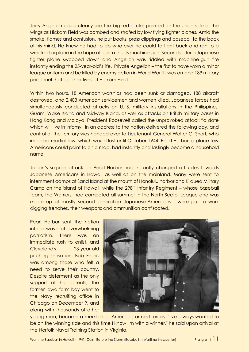Jerry Angelich could clearly see the big red circles painted on the underside of the wings as Hickam Field was bombed and strafed by low flying fighter planes. Amid the smoke, flames and confusion, he put books, press clippings and baseball to the back of his mind. He knew he had to do whatever he could to fight back and ran to a wrecked airplane in the hope of operating its machine gun. Seconds later a Japanese fighter plane swooped down and Angelich was riddled with machine-gun fire instantly ending the 25-year-old's life. Private Angelich – the first to have worn a minor league uniform and be killed by enemy action in World War II - was among 189 military personnel that lost their lives at Hickam Field.

Within two hours, 18 American warships had been sunk or damaged, 188 aircraft destroyed, and 2,403 American servicemen and women killed. Japanese forces had simultaneously conducted attacks on U. S. military installations in the Philippines, Guam, Wake Island and Midway Island, as well as attacks on British military bases in Hong Kong and Malaya. President Roosevelt called the unprovoked attack "a date which will live in infamy" in an address to the nation delivered the following day, and control of the territory was handed over to Lieutenant General Walter C. Short, who imposed martial law, which would last until October 1944. Pearl Harbor, a place few Americans could point to on a map, had instantly and lastingly become a household name

Japan's surprise attack on Pearl Harbor had instantly changed attitudes towards Japanese Americans in Hawaii as well as on the mainland. Many were sent to internment camps at Sand Island at the mouth of Honolulu harbor and Kilauea Military Camp on the island of Hawaii, while the 298<sup>th</sup> Infantry Regiment – whose baseball team, the Warriors, had competed all summer in the North Sector League and was made up of mostly second-generation Japanese-Americans - were put to work digging trenches, their weapons and ammunition confiscated.

Pearl Harbor sent the nation into a wave of overwhelming patriotism. There was an immediate rush to enlist, and Cleveland's 23-year-old pitching sensation, Bob Feller, was among those who felt a need to serve their country. Despite deferment as the only support of his parents, the former Iowa farm boy went to the Navy recruiting office in Chicago on December 9, and along with thousands of other



young men, became a member of America's armed forces. "I've always wanted to be on the winning side and this time I know I'm with a winner," he said upon arrival at the Norfolk Naval Training Station in Virginia.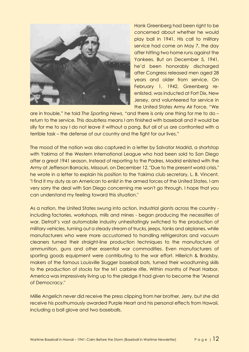

Hank Greenberg had been right to be concerned about whether he would play ball in 1941. His call to military service had come on May 7, the day after hitting two home runs against the Yankees. But on December 5, 1941, he'd been honorably discharged after Congress released men aged 28 years and older from service. On February 1, 1942, Greenberg reenlisted, was inducted at Fort Dix, New Jersey, and volunteered for service in the United States Army Air Force. "We

are in trouble," he told *The Sporting News*, "and there is only one thing for me to do – return to the service. This doubtless means I am finished with baseball and it would be silly for me to say I do not leave it without a pang. But all of us are confronted with a terrible task – the defense of our country and the fight for our lives."

The mood of the nation was also captured in a letter by Salvator Madrid, a shortstop with Yakima of the Western International League who had been sold to San Diego after a great 1941 season. Instead of reporting to the Padres, Madrid enlisted with the Army at Jefferson Barracks, Missouri, on December 12. "Due to the present world crisis," he wrote in a letter to explain his position to the Yakima club secretary, L. B. Vincent. "I find it my duty as an American to enlist in the armed forces of the United States. I am very sorry the deal with San Diego concerning me won't go through. I hope that you can understand my feeling toward this situation."

As a nation, the United States swung into action. Industrial giants across the country including factories, workshops, mills and mines - began producing the necessities of war. Detroit's vast automobile industry unhesitatingly switched to the production of military vehicles, turning out a steady stream of trucks, jeeps, tanks and airplanes, while manufacturers who were more accustomed to handling refrigerators and vacuum cleaners turned their straight-line production techniques to the manufacture of ammunition, guns and other essential war commodities. Even manufacturers of sporting goods equipment were contributing to the war effort. Hillerich & Bradsby, makers of the famous Louisville Slugger baseball bats, turned their woodturning skills to the production of stocks for the M1 carbine rifle. Within months of Pearl Harbor, America was impressively living up to the pledge it had given to become the "Arsenal of Democracy."

Millie Angelich never did receive the press clipping from her brother, Jerry, but she did receive his posthumously awarded Purple Heart and his personal effects from Hawaii, including a ball glove and two baseballs.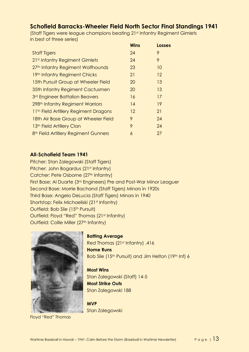### **Schofield Barracks-Wheeler Field North Sector Final Standings 1941**

(Staff Tigers were league champions beating 21st Infantry Regiment Gimlets in best of three series)

| <b>Wins</b> | Losses                                     |
|-------------|--------------------------------------------|
|             | 9                                          |
|             | 9                                          |
|             | 10                                         |
|             | 12                                         |
|             | 13                                         |
|             | 13                                         |
| 16          | 17                                         |
| 14          | 19                                         |
| $12 \,$     | 21                                         |
|             | 24                                         |
|             | 24                                         |
| 6           | 27                                         |
|             | 24<br>24<br>23<br>21<br>20<br>20<br>9<br>9 |

#### **All-Schofield Team 1941**

Pitcher: Stan Zalegowski (Staff Tigers) Pitcher: John Bogardus (21st Infantry) Catcher: Pete Osborne (27<sup>th</sup> Infantry) First Base: Al Duarte (3rd Engineers) Pre and Post-War Minor Leaguer Second Base: Morrie Bachand (Staff Tigers) Minors in 1920s Third Base: Angelo DeLucia (Staff Tigers) Minors in 1940 Shortstop: Felix Michaeliski (21st Infantry) Outfield: Bob Slie (15<sup>th</sup> Pursuit) Outfield: Floyd "Red" Thomas (21st Infantry) Outfield: Collie Miller (27<sup>th</sup> Infantry)



Floyd "Red" Thomas

**Batting Average**  Red Thomas (21st Infantry) .416 **Home Runs** Bob Slie (15th Pursuit) and Jim Helton (19th Inf) 6

**Most Wins** Stan Zalegowski (Staff) 14-5 **Most Strike Outs** Stan Zalegowski 188

**MVP** Stan Zalegowski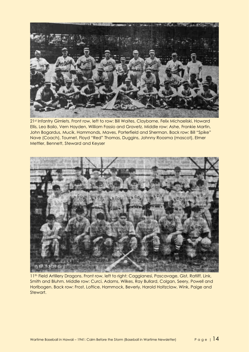

21st Infantry Gimlets. Front row, left to row: Bill Waites, Clayborne, Felix Michaeliski, Howard Ellis, Leo Bailo, Vern Hayden, William Fassio and Gravetz. Middle row: Ashe, Frankie Martin, John Bogardus, Mucik, Hammonds, Maves, Porterfield and Sherman. Back row: Bill "Spike" Nave (Coach), Tournet, Floyd "Red" Thomas, Duggins, Johnny Roosma (mascot), Elmer Mettler, Bennett, Steward and Keyser



11<sup>th</sup> Field Artillery Dragons. Front row, left to right: Caggianesi, Pascavage, Gist, Ratliff, Link, Smith and Bluhm. Middle row: Curci, Adams, Wilkes, Ray Bullard, Colgan, Seery, Powell and Horlbogen. Back row: Frost, Loftice, Hammock, Beverly, Harold Holtzclaw, Wink, Paige and Stewart.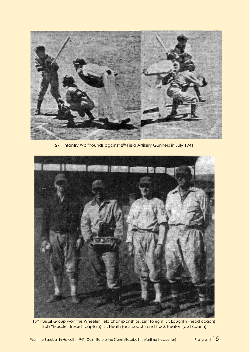

27<sup>th</sup> Infantry Wolfhounds against 8<sup>th</sup> Field Artillery Gunners in July 1941



15<sup>th</sup> Pursuit Group won the Wheeler Field championships. Left to right: Lt. Laughlin (head coach), Bob "Muscle" Trussell (captain), Lt. Heath (asst coach) and Truck Heaton (asst coach)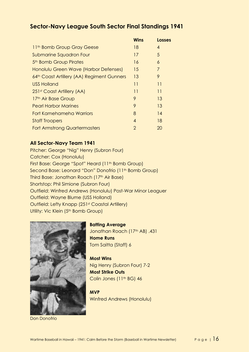### **Sector-Navy League South Sector Final Standings 1941**

|                                            | <b>Wins</b>      | <b>Losses</b>   |
|--------------------------------------------|------------------|-----------------|
| 11 <sup>th</sup> Bomb Group Gray Geese     | 18               | 4               |
| Submarine Squadron Four                    | 17               | 5               |
| 5 <sup>th</sup> Bomb Group Pirates         | 16               | 6               |
| Honolulu Green Wave (Harbor Defenses)      | 15               | 7               |
| 64th Coast Artillery (AA) Regiment Gunners | 13               | 9               |
| <b>USS Holland</b>                         | 11               | $\overline{11}$ |
| 251 <sup>st</sup> Coast Artillery (AA)     | 11               | 11              |
| 17th Air Base Group                        | 9                | 13              |
| <b>Pearl Harbor Marines</b>                | 9                | 13              |
| Fort Kamehameha Warriors                   | 8                | 14              |
| <b>Staff Troopers</b>                      | $\boldsymbol{4}$ | 18              |
| <b>Fort Armstrong Quartermasters</b>       | 2                | 20              |

#### **All Sector-Navy Team 1941**

Pitcher: George "Nig" Henry (Subron Four) Catcher: Cox (Honolulu) First Base: George "Spot" Heard (11th Bomb Group) Second Base: Leonard "Don" Donofrio (11<sup>th</sup> Bomb Group) Third Base: Jonathan Roach (17th Air Base) Shortstop: Phil Simione (Subron Four) Outfield: Winfred Andrews (Honolulu) Post-War Minor Leaguer Outfield: Wayne Blume (USS Holland) Outfield: Lefty Knapp (251st Coastal Artillery) Utility: Vic Klein (5<sup>th</sup> Bomb Group)



Don Donofrio

**Batting Average**  Jonathan Roach (17th AB) .431 **Home Runs** Tom Saitta (Staff) 6

**Most Wins** Nig Henry (Subron Four) 7-2 **Most Strike Outs** Colin Jones (11<sup>th</sup> BG) 46

**MVP** Winfred Andrews (Honolulu)